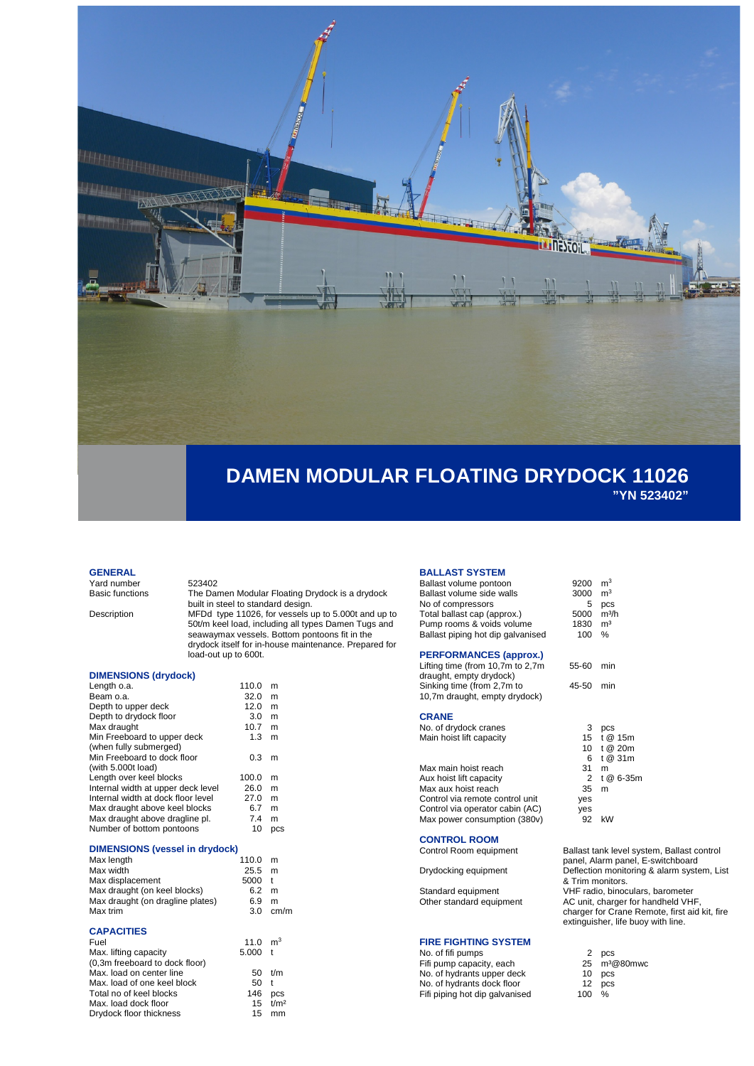

### **GENERAL**

Yard number 523402<br>Basic functions The Dar

The Damen Modular Floating Drydock is a drydock built in steel to standard design.

Description MFDd type 11026, for vessels up to 5.000t and up to 50t/m keel load, including all types Damen Tugs and seawaymax vessels. Bottom pontoons fit in the drydock itself for in-house maintenance. Prepared for load-out up to 600t.

# **DIMENSIONS (drydock)**

| Length o.a.                        | 110.0 | m          |
|------------------------------------|-------|------------|
| Beam o.a.                          | 32.0  | m          |
| Depth to upper deck                | 12.0  | m          |
| Depth to drydock floor             | 3.0   | m          |
| Max draught                        | 10.7  | m          |
| Min Freeboard to upper deck        | 1.3   | m          |
| (when fully submerged)             |       |            |
| Min Freeboard to dock floor        | 0.3   | m          |
| (with 5.000t load)                 |       |            |
| Length over keel blocks            | 100.0 | m          |
| Internal width at upper deck level | 26.0  | m          |
| Internal width at dock floor level | 27.0  | m          |
| Max draught above keel blocks      | 6.7   | m          |
| Max draught above dragline pl.     | 7.4   | m          |
| Number of bottom pontoons          | 10    | <b>DCS</b> |
|                                    |       |            |

#### **DIMENSIONS (vessel in drydock)**

| Max length                       | 110.0 | m            |
|----------------------------------|-------|--------------|
| Max width                        | 25.5  | m            |
| Max displacement                 | 5000  | $^{\dagger}$ |
| Max draught (on keel blocks)     | 6.2   | m            |
| Max draught (on dragline plates) | 6.9   | m            |
| Max trim                         | 3.0   | cm/m         |
|                                  |       |              |

# **CAPACITIES**

| Fuel                           | 11.0 $m3$ |              |
|--------------------------------|-----------|--------------|
| Max. lifting capacity          | $5.000$ t |              |
| (0,3m freeboard to dock floor) |           |              |
| Max. load on center line       | 50        | t/m          |
| Max. load of one keel block    | 50        | $\mathbf{t}$ |
| Total no of keel blocks        | 146       | <b>DCS</b>   |
| Max. load dock floor           |           | $15 + t/m^2$ |
| Drydock floor thickness        | 15        | mm           |
|                                |           |              |

# **BALLAST SYSTEM**

| Ballast volume pontoon            | 9200 | m <sup>3</sup> |
|-----------------------------------|------|----------------|
| Ballast volume side walls         | 3000 | m <sup>3</sup> |
| No of compressors                 | 5    | pcs            |
| Total ballast cap (approx.)       | 5000 | $m^3/h$        |
| Pump rooms & voids volume         | 1830 | m <sup>3</sup> |
| Ballast piping hot dip galvanised | 100  | %              |
|                                   |      |                |

# **PERFORMANCES (approx.)**

Lifting time (from 10,7m to 2,7m draught, empty drydock) Sinking time (from 2,7m to 10,7m draught, empty drydock)

# **CRANE**

No. of drydock cranes Main hoist lift capacity

| Max main hoist reach            | 31    | m           |
|---------------------------------|-------|-------------|
| Aux hoist lift capacity         |       | 2 t @ 6-35m |
| Max aux hoist reach             | 35    | m           |
| Control via remote control unit | yes   |             |
| Control via operator cabin (AC) | yes   |             |
| Max power consumption (380v)    | 92 kW |             |
|                                 |       |             |

**CONTROL ROOM**

#### **FIRE FIGHTING SYSTEM**

No. of fifi pumps Fifi pump capacity, each 25 m<sup>3</sup>@80mwc No. of hydrants upper deck No. of hydrants dock floor 12 pc<br>Fifi piping hot dip galvanised 100 % Fifi piping hot dip galvanised

| 100 %     |  |
|-----------|--|
| 55-60 min |  |
| 45-50 min |  |
|           |  |

| 3            | pcs          |
|--------------|--------------|
|              | 15 t @ 15m   |
|              | 10 t @ 20m   |
|              | 6 t@31m      |
| 31           | m            |
| $\mathbf{2}$ | t @ 6-35m    |
| 35 m         |              |
| es           |              |
| es           |              |
| ററ           | $\mathsf{L}$ |

Ballast tank level system, Ballast control panel, Alarm panel, E-switchboard Drydocking equipment Deflection monitoring & alarm system, List & Trim monitors. Standard equipment VHF radio, binoculars, barometer<br>Other standard equipment AC unit, charger for handheld VH AC unit, charger for handheld VHF charger for Crane Remote, first aid kit, fire extinguisher, life buoy with line.

| 2  | pcs                   |
|----|-----------------------|
| 25 | m <sup>3</sup> @80mwo |
| 10 | pcs                   |
| 12 | pcs                   |
|    |                       |